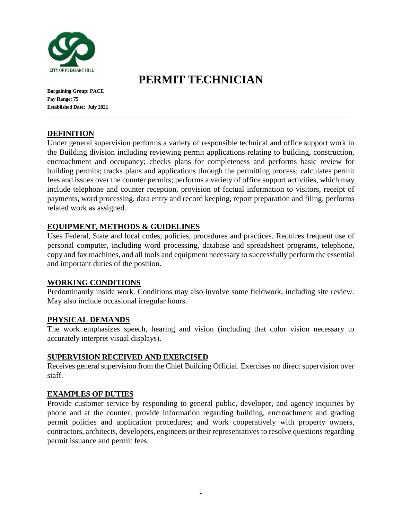

**Bargaining Group: PACE Pay Range: 75 Established Date: July 2021**

# **PERMIT TECHNICIAN**

\_\_\_\_\_\_\_\_\_\_\_\_\_\_\_\_\_\_\_\_\_\_\_\_\_\_\_\_\_\_\_\_\_\_\_\_\_\_\_\_\_\_\_\_\_\_\_\_\_\_\_\_\_\_\_\_\_\_\_\_\_\_\_\_\_\_\_\_\_\_\_\_\_\_\_\_\_\_\_

## **DEFINITION**

Under general supervision performs a variety of responsible technical and office support work in the Building division including reviewing permit applications relating to building, construction, encroachment and occupancy; checks plans for completeness and performs basic review for building permits; tracks plans and applications through the permitting process; calculates permit fees and issues over the counter permits; performs a variety of office support activities, which may include telephone and counter reception, provision of factual information to visitors, receipt of payments, word processing, data entry and record keeping, report preparation and filing; performs related work as assigned.

## **EQUIPMENT, METHODS & GUIDELINES**

Uses Federal, State and local codes, policies, procedures and practices. Requires frequent use of personal computer, including word processing, database and spreadsheet programs, telephone, copy and fax machines, and all tools and equipment necessary to successfully perform the essential and important duties of the position.

### **WORKING CONDITIONS**

Predominantly inside work. Conditions may also involve some fieldwork, including site review. May also include occasional irregular hours.

## **PHYSICAL DEMANDS**

The work emphasizes speech, hearing and vision (including that color vision necessary to accurately interpret visual displays).

### **SUPERVISION RECEIVED AND EXERCISED**

Receives general supervision from the Chief Building Official. Exercises no direct supervision over staff.

### **EXAMPLES OF DUTIES**

Provide customer service by responding to general public, developer, and agency inquiries by phone and at the counter; provide information regarding building, encroachment and grading permit policies and application procedures; and work cooperatively with property owners, contractors, architects, developers, engineers or their representatives to resolve questions regarding permit issuance and permit fees.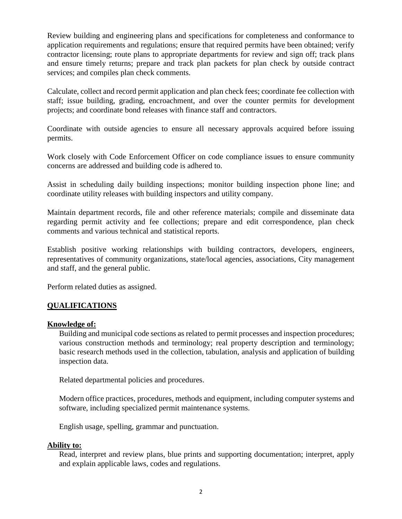Review building and engineering plans and specifications for completeness and conformance to application requirements and regulations; ensure that required permits have been obtained; verify contractor licensing; route plans to appropriate departments for review and sign off; track plans and ensure timely returns; prepare and track plan packets for plan check by outside contract services; and compiles plan check comments.

Calculate, collect and record permit application and plan check fees; coordinate fee collection with staff; issue building, grading, encroachment, and over the counter permits for development projects; and coordinate bond releases with finance staff and contractors.

Coordinate with outside agencies to ensure all necessary approvals acquired before issuing permits.

Work closely with Code Enforcement Officer on code compliance issues to ensure community concerns are addressed and building code is adhered to.

Assist in scheduling daily building inspections; monitor building inspection phone line; and coordinate utility releases with building inspectors and utility company.

Maintain department records, file and other reference materials; compile and disseminate data regarding permit activity and fee collections; prepare and edit correspondence, plan check comments and various technical and statistical reports.

Establish positive working relationships with building contractors, developers, engineers, representatives of community organizations, state/local agencies, associations, City management and staff, and the general public.

Perform related duties as assigned.

## **QUALIFICATIONS**

### **Knowledge of:**

Building and municipal code sections as related to permit processes and inspection procedures; various construction methods and terminology; real property description and terminology; basic research methods used in the collection, tabulation, analysis and application of building inspection data.

Related departmental policies and procedures.

Modern office practices, procedures, methods and equipment, including computer systems and software, including specialized permit maintenance systems.

English usage, spelling, grammar and punctuation.

### **Ability to:**

Read, interpret and review plans, blue prints and supporting documentation; interpret, apply and explain applicable laws, codes and regulations.